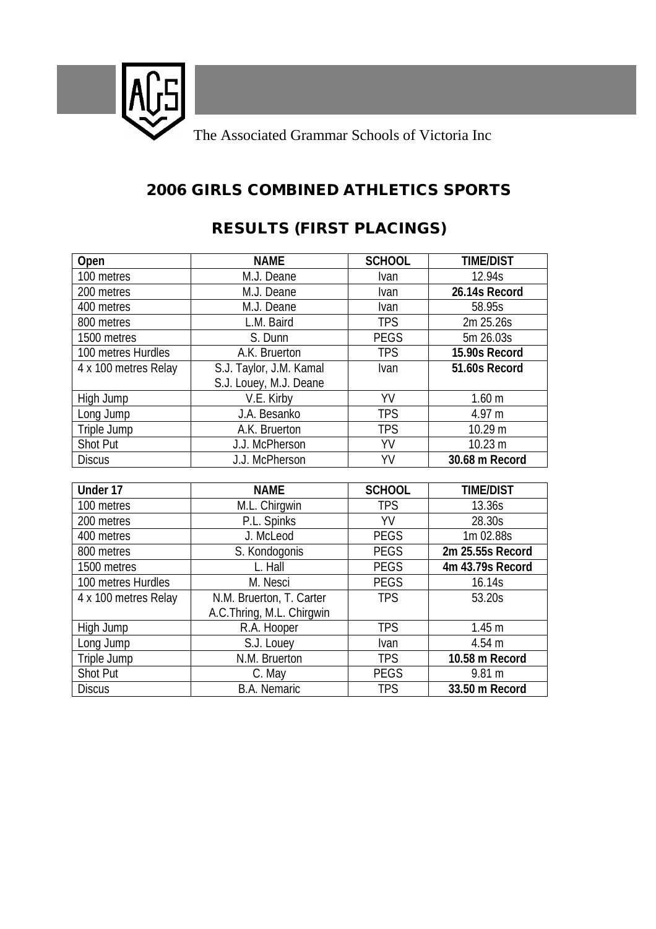

### **2006 GIRLS COMBINED ATHLETICS SPORTS**

## **RESULTS (FIRST PLACINGS)**

| Open                 | <b>NAME</b>               | <b>SCHOOL</b> | <b>TIME/DIST</b>  |
|----------------------|---------------------------|---------------|-------------------|
| 100 metres           | M.J. Deane                | <b>Ivan</b>   | 12.94s            |
| 200 metres           | M.J. Deane                | Ivan          | 26.14s Record     |
| 400 metres           | M.J. Deane                | Ivan          | 58.95s            |
| 800 metres           | L.M. Baird                | <b>TPS</b>    | 2m 25.26s         |
| 1500 metres          | S. Dunn                   | <b>PEGS</b>   | 5m 26.03s         |
| 100 metres Hurdles   | A.K. Bruerton             | <b>TPS</b>    | 15.90s Record     |
| 4 x 100 metres Relay | S.J. Taylor, J.M. Kamal   | Ivan          | 51.60s Record     |
|                      | S.J. Louey, M.J. Deane    |               |                   |
| High Jump            | V.E. Kirby                | YV            | 1.60 <sub>m</sub> |
| Long Jump            | J.A. Besanko              | <b>TPS</b>    | 4.97 m            |
| Triple Jump          | A.K. Bruerton             | <b>TPS</b>    | 10.29 m           |
| Shot Put             | J.J. McPherson            | YV            | 10.23 m           |
| <b>Discus</b>        | J.J. McPherson            | YV            | 30.68 m Record    |
|                      |                           |               |                   |
| Under 17             | <b>NAME</b>               | <b>SCHOOL</b> | <b>TIME/DIST</b>  |
| 100 metres           | M.L. Chirgwin             | <b>TPS</b>    | 13.36s            |
| 200 metres           | P.L. Spinks               | YV            | 28.30s            |
| 400 metres           | J. McLeod                 | <b>PEGS</b>   | 1m 02.88s         |
| 800 metres           | S. Kondogonis             | <b>PEGS</b>   | 2m 25.55s Record  |
| 1500 metres          | L. Hall                   | <b>PEGS</b>   | 4m 43.79s Record  |
| 100 metres Hurdles   | M. Nesci                  | <b>PEGS</b>   | 16.14s            |
| 4 x 100 metres Relay | N.M. Bruerton, T. Carter  | <b>TPS</b>    | 53.20s            |
|                      | A.C.Thring, M.L. Chirgwin |               |                   |
| High Jump            | R.A. Hooper               | <b>TPS</b>    | 1.45 <sub>m</sub> |
| Long Jump            | S.J. Louey                | Ivan          | 4.54 m            |
| Triple Jump          | N.M. Bruerton             | <b>TPS</b>    | 10.58 m Record    |
| <b>Shot Put</b>      | C. May                    | <b>PEGS</b>   | 9.81 m            |
| <b>Discus</b>        | <b>B.A. Nemaric</b>       | <b>TPS</b>    | 33.50 m Record    |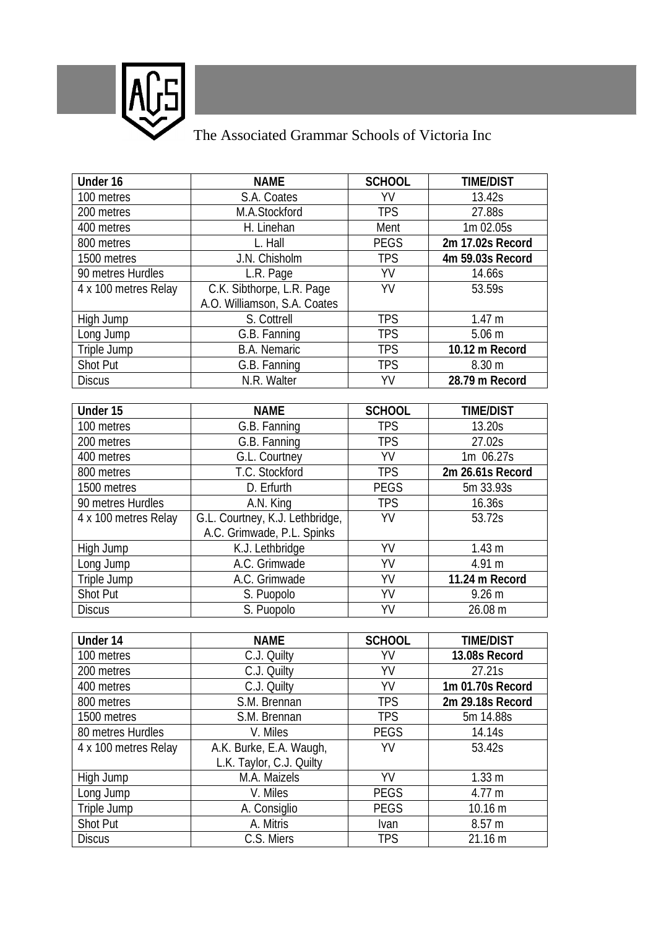

# The Associated Grammar Schools of Victoria Inc

| S.A. Coates<br>YV<br>100 metres<br>13.42s<br><b>TPS</b><br>200 metres<br>M.A.Stockford<br>27.88s<br>Ment<br>1m 02.05s<br>H. Linehan<br>400 metres<br>L. Hall<br><b>PEGS</b><br>2m 17.02s Record<br>800 metres<br>1500 metres<br>J.N. Chisholm<br><b>TPS</b><br>4m 59.03s Record<br>YV<br>90 metres Hurdles<br>L.R. Page<br>14.66s<br>YV<br>C.K. Sibthorpe, L.R. Page<br>4 x 100 metres Relay<br>53.59s<br>A.O. Williamson, S.A. Coates<br><b>TPS</b><br>S. Cottrell<br>High Jump<br>1.47 m<br><b>TPS</b><br>$5.06$ m<br>G.B. Fanning<br>Long Jump<br><b>TPS</b><br>Triple Jump<br><b>B.A. Nemaric</b><br>10.12 m Record<br>Shot Put<br>G.B. Fanning<br><b>TPS</b><br>8.30 m<br>YV<br>N.R. Walter<br>28.79 m Record<br><b>Discus</b><br>Under 15<br><b>SCHOOL</b><br><b>TIME/DIST</b><br><b>NAME</b><br><b>TPS</b><br>100 metres<br>G.B. Fanning<br>13.20s<br><b>TPS</b><br>200 metres<br>G.B. Fanning<br>27.02s<br>YV<br>400 metres<br>1m 06.27s<br>G.L. Courtney<br>T.C. Stockford<br><b>TPS</b><br>800 metres<br>2m 26.61s Record<br><b>PEGS</b><br>D. Erfurth<br>1500 metres<br>5m 33.93s<br>90 metres Hurdles<br>A.N. King<br><b>TPS</b><br>16.36s<br>G.L. Courtney, K.J. Lethbridge,<br>YV<br>53.72s<br>4 x 100 metres Relay<br>A.C. Grimwade, P.L. Spinks<br>YV<br>K.J. Lethbridge<br>1.43 <sub>m</sub><br>High Jump<br>$\overline{VV}$<br>A.C. Grimwade<br>4.91 m<br>Long Jump<br>YV<br>Triple Jump<br>A.C. Grimwade<br>11.24 m Record<br>YV<br>Shot Put<br>S. Puopolo<br>$9.26$ m<br>YV<br>S. Puopolo<br><b>Discus</b><br>26.08 m<br>Under 14<br><b>NAME</b><br><b>SCHOOL</b><br><b>TIME/DIST</b><br>YV<br>100 metres<br>C.J. Quilty<br>13.08s Record<br>YV<br>200 metres<br>C.J. Quilty<br>27.21s<br>YV<br>C.J. Quilty<br>400 metres<br>1m 01.70s Record<br><b>TPS</b><br>800 metres<br>S.M. Brennan<br>2m 29.18s Record<br>1500 metres<br><b>TPS</b><br>S.M. Brennan<br>5m 14.88s<br>80 metres Hurdles<br>PEGS<br>V. Miles<br>14.14s<br>A.K. Burke, E.A. Waugh,<br>YV<br>4 x 100 metres Relay<br>53.42s<br>L.K. Taylor, C.J. Quilty | Under 16  | <b>NAME</b>  | <b>SCHOOL</b> | <b>TIME/DIST</b>  |
|-----------------------------------------------------------------------------------------------------------------------------------------------------------------------------------------------------------------------------------------------------------------------------------------------------------------------------------------------------------------------------------------------------------------------------------------------------------------------------------------------------------------------------------------------------------------------------------------------------------------------------------------------------------------------------------------------------------------------------------------------------------------------------------------------------------------------------------------------------------------------------------------------------------------------------------------------------------------------------------------------------------------------------------------------------------------------------------------------------------------------------------------------------------------------------------------------------------------------------------------------------------------------------------------------------------------------------------------------------------------------------------------------------------------------------------------------------------------------------------------------------------------------------------------------------------------------------------------------------------------------------------------------------------------------------------------------------------------------------------------------------------------------------------------------------------------------------------------------------------------------------------------------------------------------------------------------------------------------------------------------------------------------------------------------|-----------|--------------|---------------|-------------------|
|                                                                                                                                                                                                                                                                                                                                                                                                                                                                                                                                                                                                                                                                                                                                                                                                                                                                                                                                                                                                                                                                                                                                                                                                                                                                                                                                                                                                                                                                                                                                                                                                                                                                                                                                                                                                                                                                                                                                                                                                                                               |           |              |               |                   |
|                                                                                                                                                                                                                                                                                                                                                                                                                                                                                                                                                                                                                                                                                                                                                                                                                                                                                                                                                                                                                                                                                                                                                                                                                                                                                                                                                                                                                                                                                                                                                                                                                                                                                                                                                                                                                                                                                                                                                                                                                                               |           |              |               |                   |
|                                                                                                                                                                                                                                                                                                                                                                                                                                                                                                                                                                                                                                                                                                                                                                                                                                                                                                                                                                                                                                                                                                                                                                                                                                                                                                                                                                                                                                                                                                                                                                                                                                                                                                                                                                                                                                                                                                                                                                                                                                               |           |              |               |                   |
|                                                                                                                                                                                                                                                                                                                                                                                                                                                                                                                                                                                                                                                                                                                                                                                                                                                                                                                                                                                                                                                                                                                                                                                                                                                                                                                                                                                                                                                                                                                                                                                                                                                                                                                                                                                                                                                                                                                                                                                                                                               |           |              |               |                   |
|                                                                                                                                                                                                                                                                                                                                                                                                                                                                                                                                                                                                                                                                                                                                                                                                                                                                                                                                                                                                                                                                                                                                                                                                                                                                                                                                                                                                                                                                                                                                                                                                                                                                                                                                                                                                                                                                                                                                                                                                                                               |           |              |               |                   |
|                                                                                                                                                                                                                                                                                                                                                                                                                                                                                                                                                                                                                                                                                                                                                                                                                                                                                                                                                                                                                                                                                                                                                                                                                                                                                                                                                                                                                                                                                                                                                                                                                                                                                                                                                                                                                                                                                                                                                                                                                                               |           |              |               |                   |
|                                                                                                                                                                                                                                                                                                                                                                                                                                                                                                                                                                                                                                                                                                                                                                                                                                                                                                                                                                                                                                                                                                                                                                                                                                                                                                                                                                                                                                                                                                                                                                                                                                                                                                                                                                                                                                                                                                                                                                                                                                               |           |              |               |                   |
|                                                                                                                                                                                                                                                                                                                                                                                                                                                                                                                                                                                                                                                                                                                                                                                                                                                                                                                                                                                                                                                                                                                                                                                                                                                                                                                                                                                                                                                                                                                                                                                                                                                                                                                                                                                                                                                                                                                                                                                                                                               |           |              |               |                   |
|                                                                                                                                                                                                                                                                                                                                                                                                                                                                                                                                                                                                                                                                                                                                                                                                                                                                                                                                                                                                                                                                                                                                                                                                                                                                                                                                                                                                                                                                                                                                                                                                                                                                                                                                                                                                                                                                                                                                                                                                                                               |           |              |               |                   |
|                                                                                                                                                                                                                                                                                                                                                                                                                                                                                                                                                                                                                                                                                                                                                                                                                                                                                                                                                                                                                                                                                                                                                                                                                                                                                                                                                                                                                                                                                                                                                                                                                                                                                                                                                                                                                                                                                                                                                                                                                                               |           |              |               |                   |
|                                                                                                                                                                                                                                                                                                                                                                                                                                                                                                                                                                                                                                                                                                                                                                                                                                                                                                                                                                                                                                                                                                                                                                                                                                                                                                                                                                                                                                                                                                                                                                                                                                                                                                                                                                                                                                                                                                                                                                                                                                               |           |              |               |                   |
|                                                                                                                                                                                                                                                                                                                                                                                                                                                                                                                                                                                                                                                                                                                                                                                                                                                                                                                                                                                                                                                                                                                                                                                                                                                                                                                                                                                                                                                                                                                                                                                                                                                                                                                                                                                                                                                                                                                                                                                                                                               |           |              |               |                   |
|                                                                                                                                                                                                                                                                                                                                                                                                                                                                                                                                                                                                                                                                                                                                                                                                                                                                                                                                                                                                                                                                                                                                                                                                                                                                                                                                                                                                                                                                                                                                                                                                                                                                                                                                                                                                                                                                                                                                                                                                                                               |           |              |               |                   |
|                                                                                                                                                                                                                                                                                                                                                                                                                                                                                                                                                                                                                                                                                                                                                                                                                                                                                                                                                                                                                                                                                                                                                                                                                                                                                                                                                                                                                                                                                                                                                                                                                                                                                                                                                                                                                                                                                                                                                                                                                                               |           |              |               |                   |
|                                                                                                                                                                                                                                                                                                                                                                                                                                                                                                                                                                                                                                                                                                                                                                                                                                                                                                                                                                                                                                                                                                                                                                                                                                                                                                                                                                                                                                                                                                                                                                                                                                                                                                                                                                                                                                                                                                                                                                                                                                               |           |              |               |                   |
|                                                                                                                                                                                                                                                                                                                                                                                                                                                                                                                                                                                                                                                                                                                                                                                                                                                                                                                                                                                                                                                                                                                                                                                                                                                                                                                                                                                                                                                                                                                                                                                                                                                                                                                                                                                                                                                                                                                                                                                                                                               |           |              |               |                   |
|                                                                                                                                                                                                                                                                                                                                                                                                                                                                                                                                                                                                                                                                                                                                                                                                                                                                                                                                                                                                                                                                                                                                                                                                                                                                                                                                                                                                                                                                                                                                                                                                                                                                                                                                                                                                                                                                                                                                                                                                                                               |           |              |               |                   |
|                                                                                                                                                                                                                                                                                                                                                                                                                                                                                                                                                                                                                                                                                                                                                                                                                                                                                                                                                                                                                                                                                                                                                                                                                                                                                                                                                                                                                                                                                                                                                                                                                                                                                                                                                                                                                                                                                                                                                                                                                                               |           |              |               |                   |
|                                                                                                                                                                                                                                                                                                                                                                                                                                                                                                                                                                                                                                                                                                                                                                                                                                                                                                                                                                                                                                                                                                                                                                                                                                                                                                                                                                                                                                                                                                                                                                                                                                                                                                                                                                                                                                                                                                                                                                                                                                               |           |              |               |                   |
|                                                                                                                                                                                                                                                                                                                                                                                                                                                                                                                                                                                                                                                                                                                                                                                                                                                                                                                                                                                                                                                                                                                                                                                                                                                                                                                                                                                                                                                                                                                                                                                                                                                                                                                                                                                                                                                                                                                                                                                                                                               |           |              |               |                   |
|                                                                                                                                                                                                                                                                                                                                                                                                                                                                                                                                                                                                                                                                                                                                                                                                                                                                                                                                                                                                                                                                                                                                                                                                                                                                                                                                                                                                                                                                                                                                                                                                                                                                                                                                                                                                                                                                                                                                                                                                                                               |           |              |               |                   |
|                                                                                                                                                                                                                                                                                                                                                                                                                                                                                                                                                                                                                                                                                                                                                                                                                                                                                                                                                                                                                                                                                                                                                                                                                                                                                                                                                                                                                                                                                                                                                                                                                                                                                                                                                                                                                                                                                                                                                                                                                                               |           |              |               |                   |
|                                                                                                                                                                                                                                                                                                                                                                                                                                                                                                                                                                                                                                                                                                                                                                                                                                                                                                                                                                                                                                                                                                                                                                                                                                                                                                                                                                                                                                                                                                                                                                                                                                                                                                                                                                                                                                                                                                                                                                                                                                               |           |              |               |                   |
|                                                                                                                                                                                                                                                                                                                                                                                                                                                                                                                                                                                                                                                                                                                                                                                                                                                                                                                                                                                                                                                                                                                                                                                                                                                                                                                                                                                                                                                                                                                                                                                                                                                                                                                                                                                                                                                                                                                                                                                                                                               |           |              |               |                   |
|                                                                                                                                                                                                                                                                                                                                                                                                                                                                                                                                                                                                                                                                                                                                                                                                                                                                                                                                                                                                                                                                                                                                                                                                                                                                                                                                                                                                                                                                                                                                                                                                                                                                                                                                                                                                                                                                                                                                                                                                                                               |           |              |               |                   |
|                                                                                                                                                                                                                                                                                                                                                                                                                                                                                                                                                                                                                                                                                                                                                                                                                                                                                                                                                                                                                                                                                                                                                                                                                                                                                                                                                                                                                                                                                                                                                                                                                                                                                                                                                                                                                                                                                                                                                                                                                                               |           |              |               |                   |
|                                                                                                                                                                                                                                                                                                                                                                                                                                                                                                                                                                                                                                                                                                                                                                                                                                                                                                                                                                                                                                                                                                                                                                                                                                                                                                                                                                                                                                                                                                                                                                                                                                                                                                                                                                                                                                                                                                                                                                                                                                               |           |              |               |                   |
|                                                                                                                                                                                                                                                                                                                                                                                                                                                                                                                                                                                                                                                                                                                                                                                                                                                                                                                                                                                                                                                                                                                                                                                                                                                                                                                                                                                                                                                                                                                                                                                                                                                                                                                                                                                                                                                                                                                                                                                                                                               |           |              |               |                   |
|                                                                                                                                                                                                                                                                                                                                                                                                                                                                                                                                                                                                                                                                                                                                                                                                                                                                                                                                                                                                                                                                                                                                                                                                                                                                                                                                                                                                                                                                                                                                                                                                                                                                                                                                                                                                                                                                                                                                                                                                                                               |           |              |               |                   |
|                                                                                                                                                                                                                                                                                                                                                                                                                                                                                                                                                                                                                                                                                                                                                                                                                                                                                                                                                                                                                                                                                                                                                                                                                                                                                                                                                                                                                                                                                                                                                                                                                                                                                                                                                                                                                                                                                                                                                                                                                                               |           |              |               |                   |
|                                                                                                                                                                                                                                                                                                                                                                                                                                                                                                                                                                                                                                                                                                                                                                                                                                                                                                                                                                                                                                                                                                                                                                                                                                                                                                                                                                                                                                                                                                                                                                                                                                                                                                                                                                                                                                                                                                                                                                                                                                               |           |              |               |                   |
|                                                                                                                                                                                                                                                                                                                                                                                                                                                                                                                                                                                                                                                                                                                                                                                                                                                                                                                                                                                                                                                                                                                                                                                                                                                                                                                                                                                                                                                                                                                                                                                                                                                                                                                                                                                                                                                                                                                                                                                                                                               |           |              |               |                   |
|                                                                                                                                                                                                                                                                                                                                                                                                                                                                                                                                                                                                                                                                                                                                                                                                                                                                                                                                                                                                                                                                                                                                                                                                                                                                                                                                                                                                                                                                                                                                                                                                                                                                                                                                                                                                                                                                                                                                                                                                                                               |           |              |               |                   |
|                                                                                                                                                                                                                                                                                                                                                                                                                                                                                                                                                                                                                                                                                                                                                                                                                                                                                                                                                                                                                                                                                                                                                                                                                                                                                                                                                                                                                                                                                                                                                                                                                                                                                                                                                                                                                                                                                                                                                                                                                                               |           |              |               |                   |
|                                                                                                                                                                                                                                                                                                                                                                                                                                                                                                                                                                                                                                                                                                                                                                                                                                                                                                                                                                                                                                                                                                                                                                                                                                                                                                                                                                                                                                                                                                                                                                                                                                                                                                                                                                                                                                                                                                                                                                                                                                               |           |              |               |                   |
|                                                                                                                                                                                                                                                                                                                                                                                                                                                                                                                                                                                                                                                                                                                                                                                                                                                                                                                                                                                                                                                                                                                                                                                                                                                                                                                                                                                                                                                                                                                                                                                                                                                                                                                                                                                                                                                                                                                                                                                                                                               |           |              |               |                   |
|                                                                                                                                                                                                                                                                                                                                                                                                                                                                                                                                                                                                                                                                                                                                                                                                                                                                                                                                                                                                                                                                                                                                                                                                                                                                                                                                                                                                                                                                                                                                                                                                                                                                                                                                                                                                                                                                                                                                                                                                                                               |           |              |               |                   |
|                                                                                                                                                                                                                                                                                                                                                                                                                                                                                                                                                                                                                                                                                                                                                                                                                                                                                                                                                                                                                                                                                                                                                                                                                                                                                                                                                                                                                                                                                                                                                                                                                                                                                                                                                                                                                                                                                                                                                                                                                                               |           |              |               |                   |
|                                                                                                                                                                                                                                                                                                                                                                                                                                                                                                                                                                                                                                                                                                                                                                                                                                                                                                                                                                                                                                                                                                                                                                                                                                                                                                                                                                                                                                                                                                                                                                                                                                                                                                                                                                                                                                                                                                                                                                                                                                               | High Jump | M.A. Maizels | YV            | 1.33 <sub>m</sub> |
| V. Miles<br>PEGS<br>Long Jump<br>4.77 m                                                                                                                                                                                                                                                                                                                                                                                                                                                                                                                                                                                                                                                                                                                                                                                                                                                                                                                                                                                                                                                                                                                                                                                                                                                                                                                                                                                                                                                                                                                                                                                                                                                                                                                                                                                                                                                                                                                                                                                                       |           |              |               |                   |
| <b>PEGS</b><br>Triple Jump<br>A. Consiglio<br>10.16 m                                                                                                                                                                                                                                                                                                                                                                                                                                                                                                                                                                                                                                                                                                                                                                                                                                                                                                                                                                                                                                                                                                                                                                                                                                                                                                                                                                                                                                                                                                                                                                                                                                                                                                                                                                                                                                                                                                                                                                                         |           |              |               |                   |
| Shot Put<br>A. Mitris<br>8.57 m<br>Ivan                                                                                                                                                                                                                                                                                                                                                                                                                                                                                                                                                                                                                                                                                                                                                                                                                                                                                                                                                                                                                                                                                                                                                                                                                                                                                                                                                                                                                                                                                                                                                                                                                                                                                                                                                                                                                                                                                                                                                                                                       |           |              |               |                   |
| C.S. Miers<br><b>TPS</b><br>21.16 m<br>Discus                                                                                                                                                                                                                                                                                                                                                                                                                                                                                                                                                                                                                                                                                                                                                                                                                                                                                                                                                                                                                                                                                                                                                                                                                                                                                                                                                                                                                                                                                                                                                                                                                                                                                                                                                                                                                                                                                                                                                                                                 |           |              |               |                   |